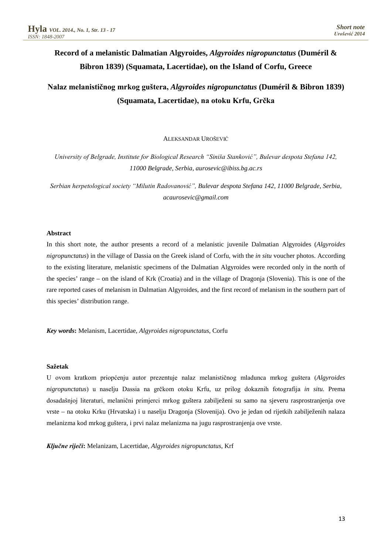# **Record of a melanistic Dalmatian Algyroides,** *Algyroides nigropunctatus* **(Duméril & Bibron 1839) (Squamata, Lacertidae), on the Island of Corfu, Greece**

## **Nalaz melanističnog mrkog guštera,** *Algyroides nigropunctatus* **(Duméril & Bibron 1839) (Squamata, Lacertidae), na otoku Krfu, Grčka**

ALEKSANDAR UROŠEVIĆ

*University of Belgrade, Institute for Biological Research "Siniša Stanković", Bulevar despota Stefana 142, 11000 Belgrade, Serbia, aurosevic@ibiss.bg.ac.rs*

*Serbian herpetological society "Milutin Radovanović", Bulevar despota Stefana 142, 11000 Belgrade, Serbia, acaurosevic@gmail.com*

### **Abstract**

In this short note, the author presents a record of a melanistic juvenile Dalmatian Algyroides (*Algyroides nigropunctatus*) in the village of Dassia on the Greek island of Corfu, with the *in situ* voucher photos. According to the existing literature, melanistic specimens of the Dalmatian Algyroides were recorded only in the north of the species' range – on the island of Krk (Croatia) and in the village of Dragonja (Slovenia). This is one of the rare reported cases of melanism in Dalmatian Algyroides, and the first record of melanism in the southern part of this species' distribution range.

*Key words***:** Melanism, Lacertidae, *Algyroides nigropunctatus,* Corfu

#### **Sažetak**

U ovom kratkom priopćenju autor prezentuje nalaz melanističnog mladunca mrkog guštera (*Algyroides nigropunctatus*) u naselju Dassia na grčkom otoku Krfu, uz prilog dokaznih fotografija *in situ.* Prema dosadašnjoj literaturi, melanični primjerci mrkog guštera zabilježeni su samo na sjeveru rasprostranjenja ove vrste – na otoku Krku (Hrvatska) i u naselju Dragonja (Slovenija). Ovo je jedan od rijetkih zabilježenih nalaza melanizma kod mrkog guštera, i prvi nalaz melanizma na jugu rasprostranjenja ove vrste.

*Ključne riječi***:** Melanizam, Lacertidae, *Algyroides nigropunctatus,* Krf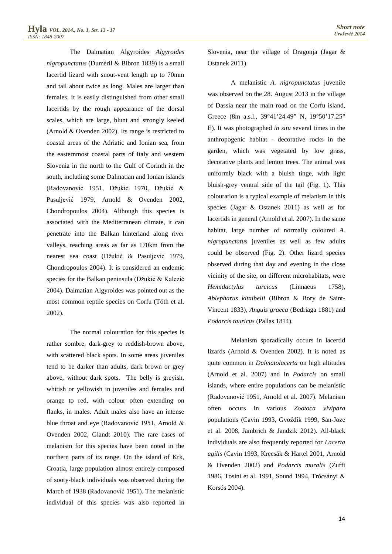The Dalmatian Algyroides *Algyroides nigropunctatus* (Duméril & Bibron 1839) is a small lacertid lizard with snout-vent length up to 70mm and tail about twice as long. Males are larger than females. It is easily distinguished from other small lacertids by the rough appearance of the dorsal scales, which are large, blunt and strongly keeled (Arnold & Ovenden 2002). Its range is restricted to coastal areas of the Adriatic and Ionian sea, from the easternmost coastal parts of Italy and western Slovenia in the north to the Gulf of Corinth in the south, including some Dalmatian and Ionian islands (Radovanović 1951, Džukić 1970, Džukić & Pasuljević 1979, Arnold & Ovenden 2002, Chondropoulos 2004). Although this species is associated with the Mediterranean climate, it can penetrate into the Balkan hinterland along river valleys, reaching areas as far as 170km from the nearest sea coast (Džukić & Pasuljević 1979, Chondropoulos 2004). It is considered an endemic species for the Balkan peninsula (Džukić & Kalezić 2004). Dalmatian Algyroides was pointed out as the most common reptile species on Corfu (Tóth et al. 2002).

The normal colouration for this species is rather sombre, dark-grey to reddish-brown above, with scattered black spots. In some areas juveniles tend to be darker than adults, dark brown or grey above, without dark spots. The belly is greyish, whitish or yellowish in juveniles and females and orange to red, with colour often extending on flanks, in males. Adult males also have an intense blue throat and eye (Radovanović 1951, Arnold & Ovenden 2002, Glandt 2010). The rare cases of melanism for this species have been noted in the northern parts of its range. On the island of Krk, Croatia, large population almost entirely composed of sooty-black individuals was observed during the March of 1938 (Radovanović 1951). The melanistic individual of this species was also reported in

Slovenia, near the village of Dragonja (Jagar & Ostanek 2011).

A melanistic *A. nigropunctatus* juvenile was observed on the 28. August 2013 in the village of Dassia near the main road on the Corfu island, Greece (8m a.s.l., 39°41'24.49" N, 19°50'17.25" E). It was photographed *in situ* several times in the anthropogenic habitat - decorative rocks in the garden, which was vegetated by low grass, decorative plants and lemon trees. The animal was uniformly black with a bluish tinge, with light bluish-grey ventral side of the tail (Fig. 1). This colouration is a typical example of melanism in this species (Jagar & Ostanek 2011) as well as for lacertids in general (Arnold et al. 2007). In the same habitat, large number of normally coloured *A. nigropunctatus* juveniles as well as few adults could be observed (Fig. 2). Other lizard species observed during that day and evening in the close vicinity of the site, on different microhabitats, were *Hemidactylus turcicus* (Linnaeus 1758), *Ablepharus kitaibelii* (Bibron & Bory de Saint-Vincent 1833), *Anguis graeca* (Bedriaga 1881) and *Podarcis tauricus* (Pallas 1814).

Melanism sporadically occurs in lacertid lizards (Arnold & Ovenden 2002). It is noted as quite common in *Dalmatolacerta* on high altitudes (Arnold et al. 2007) and in *Podarcis* on small islands, where entire populations can be melanistic (Radovanović 1951, Arnold et al. 2007). Melanism often occurs in various *Zootoca vivipara* populations (Cavin 1993, Gvoždík 1999, San-Joze et al. 2008, Jambrich & Jandzik 2012). All-black individuals are also frequently reported for *Lacerta agilis* (Cavin 1993, Krecsák & Hartel 2001, Arnold & Ovenden 2002) and *Podarcis muralis* (Zuffi 1986, Tosini et al. 1991, Sound 1994, Trócsányi & Korsós 2004).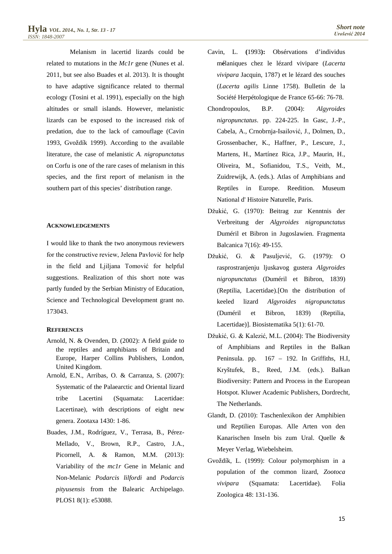Melanism in lacertid lizards could be related to mutations in the *Mc1r* gene (Nunes et al. 2011, but see also Buades et al. 2013). It is thought to have adaptive significance related to thermal ecology (Tosini et al. 1991), especially on the high altitudes or small islands. However, melanistic lizards can be exposed to the increased risk of predation, due to the lack of camouflage (Cavin 1993, Gvoždík 1999). According to the available literature, the case of melanistic *A. nigropunctatus*  on Corfu is one of the rare cases of melanism in this species, and the first report of melanism in the southern part of this species' distribution range.

#### **ACKNOWLEDGEMENTS**

I would like to thank the two anonymous reviewers for the constructive review, Jelena Pavlović for help in the field and Ljiljana Tomović for helpful suggestions. Realization of this short note was partly funded by the Serbian Ministry of Education, Science and Technological Development grant no. 173043.

#### **REFERENCES**

- Arnold, N. & Ovenden, D. (2002): A field guide to the reptiles and amphibians of Britain and Europe, Harper Collins Publishers, London, United Kingdom.
- Arnold, E.N., Arribas, O. & Carranza, S. (2007): Systematic of the Palaearctic and Oriental lizard tribe Lacertini (Squamata: Lacertidae: Lacertinae), with descriptions of eight new genera. Zootaxa 1430: 1-86.
- Buades, J.M., Rodríguez, V., Terrasa, B., Pérez-Mellado, V., Brown, R.P., Castro, J.A., Picornell, A. & Ramon, M.M. (2013): Variability of the *mc1r* Gene in Melanic and Non-Melanic *Podarcis lilfordi* and *Podarcis pityusensis* from the Balearic Archipelago. PLOS1 8(1): e53088.
- Cavin, L. **(**1993**):** Obsérvations d'individus m**é**laniques chez le lézard vivipare (*Lacerta vivipara* Jacquin, 1787) et le lézard des souches (*Lacerta agilis* Linne 1758). Bulletin de la Société Herpétologique de France 65-66: 76-78.
- Chondropoulos, B.P. (2004): *Algyroides nigropunctatus*. pp. 224-225. In Gasc, J.-P., Cabela, A., Crnobrnja-Isailović, J., Dolmen, D., Grossenbacher, K., Haffner, P., Lescure, J., Martens, H., Martínez Rica, J.P., Maurin, H., Oliveira, M., Sofianidou, T.S., Veith, M., Zuidrewijk, A. (eds.). Atlas of Amphibians and Reptiles in Europe. Reedition. Museum National d' Histoire Naturelle, Paris.
- Džukić, G. (1970): Beitrag zur Kenntnis der Verbreitung der *Algyroides nigropunctatus* Duméril et Bibron in Jugoslawien. Fragmenta Balcanica 7(16): 49-155.
- Džukić, G. & Pasuljević, G. (1979): O rasprostranjenju ljuskavog gustera *Algyroides nigropunctatus* (Duméril et Bibron, 1839) (Reptilia, Lacertidae).[On the distribution of keeled lizard *Algyroides nigropunctatus* (Duméril et Bibron, 1839) (Reptilia, Lacertidae)]. Biosistematika 5(1): 61-70.
- Džukić, G. & Kalezić, M.L. (2004): The Biodiversity of Amphibians and Reptiles in the Balkan Peninsula. pp. 167 – 192. In Griffiths, H.I, Kryštufek, B., Reed, J.M. (eds.). Balkan Biodiversity: Pattern and Process in the European Hotspot. Kluwer Academic Publishers, Dordrecht, The Netherlands.
- Glandt, D. (2010): Taschenlexikon der Amphibien und Reptilien Europas. Alle Arten von den Kanarischen Inseln bis zum Ural. Quelle & Meyer Verlag, Wiebelsheim.
- Gvoždík, L. (1999): Colour polymorphism in a population of the common lizard, *Zootoca vivipara* (Squamata: Lacertidae). Folia Zoologica 48: 131-136.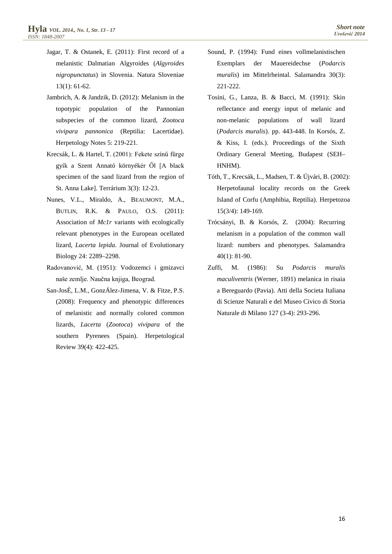- Jagar, T. & Ostanek, E. (2011): First record of a melanistic Dalmatian Algyroides (*Algyroides nigropunctatus*) in Slovenia. Natura Sloveniae 13(1): 61-62.
- Jambrich, A. & Jandzik, D. (2012): Melanism in the topotypic population of the Pannonian subspecies of the common lizard, *Zootoca vivipara pannonica* (Reptilia: Lacertidae). Herpetology Notes 5: 219-221.
- Krecsák, L. & Hartel, T. (2001): Fekete színű fürge gyík a Szent Annató környékér Ől [A black specimen of the sand lizard from the region of St. Anna Lake]. Terrárium 3(3): 12-23.
- Nunes, V.L., Miraldo, A., BEAUMONT, M.A., BUTLIN, R.K. & PAULO, O.S. (2011): Association of *Mc1r* variants with ecologically relevant phenotypes in the European ocellated lizard, *Lacerta lepida*. Journal of Evolutionary Biology 24: 2289–2298.
- Radovanović, M. (1951): Vodozemci i gmizavci naše zemlje. Naučna knjiga, Beograd.
- San-JosÉ, L.M., GonzÁlez-Jimena, V. & Fitze, P.S. (2008): Frequency and phenotypic differences of melanistic and normally colored common lizards, *Lacerta* (*Zootoca*) *vivipara* of the southern Pyrenees (Spain). Herpetological Review 39(4): 422-425.
- Sound, P. (1994): Fund eines vollmelanistischen Exemplars der Mauereidechse (*Podarcis muralis*) im Mittelrheintal. Salamandra 30(3): 221-222.
- Tosini, G., Lanza, B. & Bacci, M. (1991): Skin reflectance and energy input of melanic and non-melanic populations of wall lizard (*Podarcis muralis*). pp. 443-448. In Korsós, Z. & Kiss, I. (eds.). Proceedings of the Sixth Ordinary General Meeting, Budapest (SEH– HNHM).
- Tóth, T., Krecsák, L., Madsen, T. & Újvári, B. (2002): Herpetofaunal locality records on the Greek Island of Corfu (Amphibia, Reptilia). Herpetozoa 15(3/4): 149-169.
- Trócsányi, B. & Korsós, Z. (2004): Recurring melanism in a population of the common wall lizard: numbers and phenotypes. Salamandra 40(1): 81-90.
- Zuffi, M. (1986): Su *Podarcis muralis maculiventris* (Werner, 1891) melanica in risaia a Bereguardo (Pavia). Atti della Societa Italiana di Scienze Naturali e del Museo Civico di Storia Naturale di Milano 127 (3-4): 293-296.